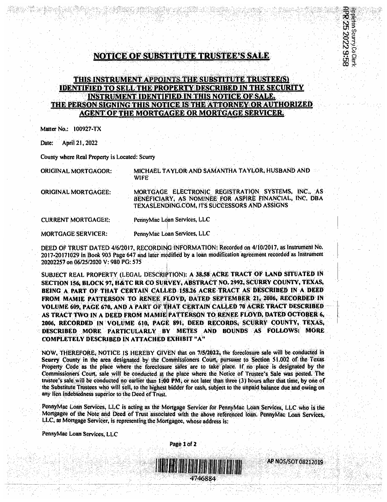## **NOTICE OF SUBSTITUTE TRUSTEE'S SALE**

## THIS INSTRUMENT APPOINTS THE SUBSTITUTE TRUSTEE(S) **IDENTIFIED TO SELL THE PROPERTY DESCRIBED IN THE SECURITY INSTRUMENT IDENTIFIED IN THIS NOTICE OF SALE.** THE PERSON SIGNING THIS NOTICE IS THE ATTORNEY OR AUTHORIZED **AGENT OF THE MORTGAGEE OR MORTGAGE SERVICER.**

Matter No.: 100927-TX

Date: April 21, 2022

County where Real Property is Located: Scurry

**ORIGINAL MORTGAGOR:** 

MICHAEL TAYLOR AND SAMANTHA TAYLOR, HUSBAND AND **WIFE** 

ORIGINAL MORTGAGEE:

MORTGAGE ELECTRONIC REGISTRATION SYSTEMS, INC., AS BENEFICIARY, AS NOMINEE FOR ASPIRE FINANCIAL, INC. DBA TEXASLENDING.COM, ITS SUCCESSORS AND ASSIGNS

**CURRENT MORTGAGEE:** 

PennyMac Loan Services, LLC

**MORTGAGE SERVICER:** 

PennyMac Loan Services, LLC

DEED OF TRUST DATED 4/6/2017, RECORDING INFORMATION: Recorded on 4/10/2017, as Instrument No. 2017-20171029 in Book 903 Page 647 and later modified by a loan modification agreement recorded as Instrument 20202257 on 06/25/2020 V: 980 PG: 575

SUBJECT REAL PROPERTY (LEGAL DESCRIPTION): A 38.58 ACRE TRACT OF LAND SITUATED IN SECTION 156, BLOCK 97, H&TC RR CO SURVEY, ABSTRACT NO. 2992, SCURRY COUNTY, TEXAS, BEING A PART OF THAT CERTAIN CALLED 158.26 ACRE TRACT AS DESCRIBED IN A DEED FROM MAMIE PATTERSON TO RENEE FLOYD, DATED SEPTEMBER 21, 2006, RECORDED IN VOLUME 609, PAGE 670, AND A PART OF THAT CERTAIN CALLED 70 ACRE TRACT DESCRIBED AS TRACT TWO IN A DEED FROM MAMIE PATTERSON TO RENEE FLOYD, DATED OCTOBER 6, 2006, RECORDED IN VOLUME 610, PAGE 891, DEED RECORDS, SCURRY COUNTY, TEXAS, DESCRIBED MORE PARTICULARLY BY METES AND BOUNDS AS FOLLOWS: MORE **COMPLETELY DESCRIBED IN ATTACHED EXHIBIT "A"** 

NOW, THEREFORE, NOTICE IS HEREBY GIVEN that on 7/5/2022, the foreclosure sale will be conducted in Seurry County in the area designated by the Commissioners Court, pursuant to Section 51.002 of the Texas Property Code as the place where the foreclosure sales are to take place. If no place is designated by the Commissioners Court, sale will be conducted at the place where the Notice of Trustee's Sale was posted. The trustee's sale will be conducted no earlier than 1:00 PM, or not later than three (3) hours after that time, by one of the Substitute Trustees who will sell, to the highest bidder for eash, subject to the unpaid balance due and owing on any lien indebtedness superior to the Deed of Trust.

PennyMac Loan Services, LLC is acting as the Mortgage Servicer for PennyMac Loan Services, LLC who is the Mortgagee of the Note and Deed of Trust associated with the above referenced loan. PennyMac Loan Services, LLC, as Mortgage Servicer, is representing the Mortgagee, whose address is:

Page 1 of 2

PennyMac Loan Services, LLC



4746884

AP NOS/SOT 08212019

员

pleton Scurry CoClerk 3520229:58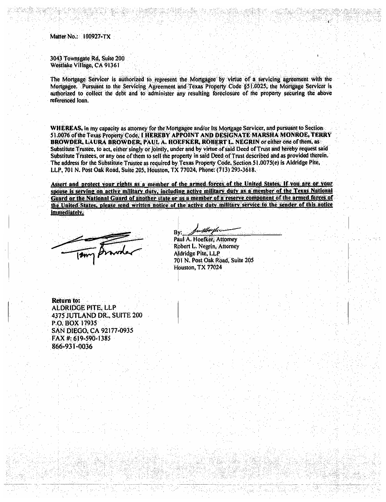Matter No.: 100927-TX

3043 Townsgate Rd, Suite 200 Westlake Village, CA 91361

The Mortgage Servicer is authorized to represent the Mortgagee by virtue of a servicing agreement with the Mortgagee. Pursuant to the Servicing Agreement and Texas Property Code §51.0025, the Mortgage Servicer is authorized to collect the debt and to administer any resulting foreclosure of the property securing the above referenced loan.

WHEREAS, in my capacity as attorney for the Mortgagee and/or its Mortgage Servicer, and pursuant to Section-51.0076 of the Texas Property Code, I HEREBY APPOINT AND DESIGNATE MARSHA MONROE, TERRY BROWDER, LAURA BROWDER, PAUL A. HOEFKER, ROBERT L. NEGRIN or either one of them, as Substitute Trustee, to act, either singly or jointly, under and by virtue of said Deed of Trust and hereby request said Substitute Trustees, or any one of them to sell the property in said Deed of Trust described and as provided therein. The address for the Substitute Trustee as required by Texas Property Code, Section 51.0075(e) is Aldridge Pite, LLP, 701 N. Post Oak Road, Suite 205, Houston, TX 77024, Phone: (713) 293-3618.

Assert and protect your rights as a member of the armed forces of the United States. If you are or your spouse is serving on active military duty, including active military duty as a member of the Texas National Guard or the National Guard of another state or as a member of a reserve component of the armed forces of the United States, please send written notice of the active duty military service to the sender of this notice immediately.

etlavels. By: Paul A. Hoefker, Attomey

Robert L. Negrin, Attorney Aldridge Pite, LLP 701 N. Post Oak Road, Suite 205 Houston, TX 77024

Return to: **ALDRIDGE PITE, LLP** 4375 JUTLAND DR., SUITE 200 P.O. BOX 17935 SAN DIEGO, CA 92177-0935 FAX #: 619-590-1385 866-931-0036